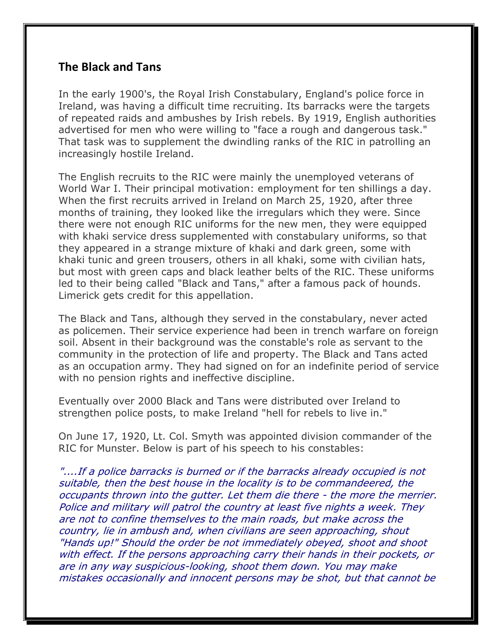## **The Black and Tans**

In the early 1900's, the Royal Irish Constabulary, England's police force in Ireland, was having a difficult time recruiting. Its barracks were the targets of repeated raids and ambushes by Irish rebels. By 1919, English authorities advertised for men who were willing to "face a rough and dangerous task." That task was to supplement the dwindling ranks of the RIC in patrolling an increasingly hostile Ireland.

The English recruits to the RIC were mainly the unemployed veterans of World War I. Their principal motivation: employment for ten shillings a day. When the first recruits arrived in Ireland on March 25, 1920, after three months of training, they looked like the irregulars which they were. Since there were not enough RIC uniforms for the new men, they were equipped with khaki service dress supplemented with constabulary uniforms, so that they appeared in a strange mixture of khaki and dark green, some with khaki tunic and green trousers, others in all khaki, some with civilian hats, but most with green caps and black leather belts of the RIC. These uniforms led to their being called "Black and Tans," after a famous pack of hounds. Limerick gets credit for this appellation.

The Black and Tans, although they served in the constabulary, never acted as policemen. Their service experience had been in trench warfare on foreign soil. Absent in their background was the constable's role as servant to the community in the protection of life and property. The Black and Tans acted as an occupation army. They had signed on for an indefinite period of service with no pension rights and ineffective discipline.

Eventually over 2000 Black and Tans were distributed over Ireland to strengthen police posts, to make Ireland "hell for rebels to live in."

On June 17, 1920, Lt. Col. Smyth was appointed division commander of the RIC for Munster. Below is part of his speech to his constables:

"....If a police barracks is burned or if the barracks already occupied is not suitable, then the best house in the locality is to be commandeered, the occupants thrown into the gutter. Let them die there - the more the merrier. Police and military will patrol the country at least five nights a week. They are not to confine themselves to the main roads, but make across the country, lie in ambush and, when civilians are seen approaching, shout "Hands up!" Should the order be not immediately obeyed, shoot and shoot with effect. If the persons approaching carry their hands in their pockets, or are in any way suspicious-looking, shoot them down. You may make mistakes occasionally and innocent persons may be shot, but that cannot be